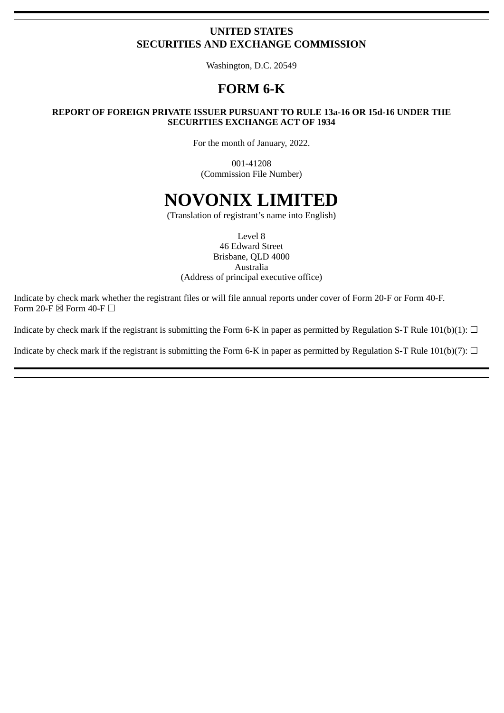# **UNITED STATES SECURITIES AND EXCHANGE COMMISSION**

Washington, D.C. 20549

# **FORM 6-K**

## **REPORT OF FOREIGN PRIVATE ISSUER PURSUANT TO RULE 13a-16 OR 15d-16 UNDER THE SECURITIES EXCHANGE ACT OF 1934**

For the month of January, 2022.

001-41208 (Commission File Number)

# **NOVONIX LIMITED**

(Translation of registrant's name into English)

Level 8 46 Edward Street Brisbane, QLD 4000 Australia (Address of principal executive office)

Indicate by check mark whether the registrant files or will file annual reports under cover of Form 20‑F or Form 40‑F. Form 20-F  $\boxtimes$  Form 40-F  $\Box$ 

Indicate by check mark if the registrant is submitting the Form 6-K in paper as permitted by Regulation S-T Rule 101(b)(1):  $\Box$ 

Indicate by check mark if the registrant is submitting the Form 6-K in paper as permitted by Regulation S-T Rule 101(b)(7):  $\Box$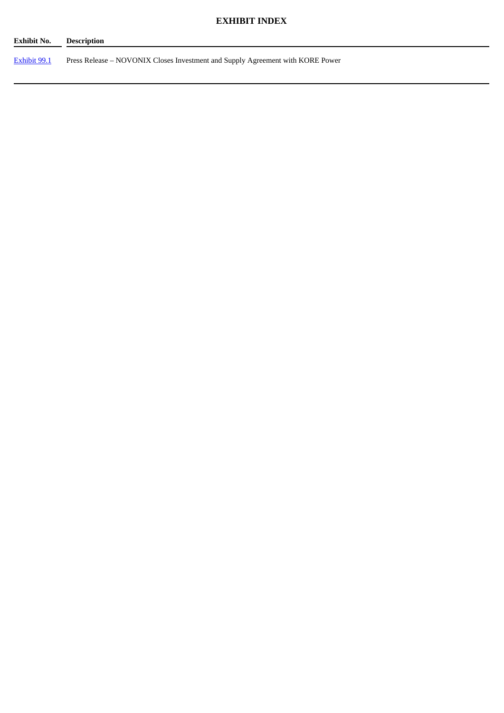# **EXHIBIT INDEX**

| <b>Exhibit No.</b>  | Description                                                                    |
|---------------------|--------------------------------------------------------------------------------|
| <b>Exhibit 99.1</b> | Press Release - NOVONIX Closes Investment and Supply Agreement with KORE Power |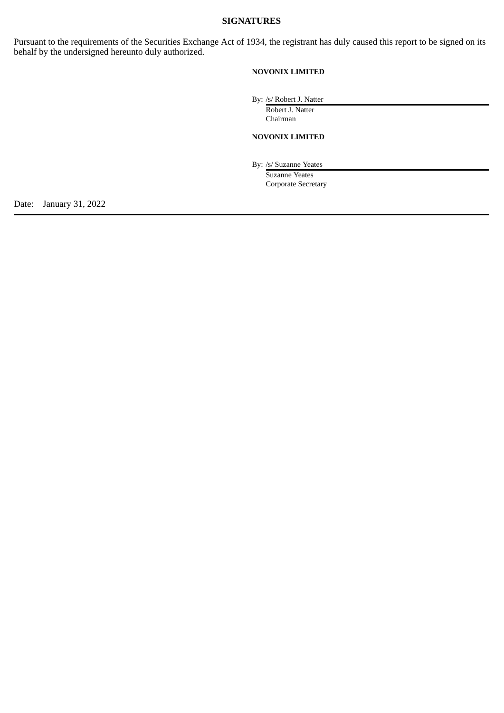#### **SIGNATURES**

Pursuant to the requirements of the Securities Exchange Act of 1934, the registrant has duly caused this report to be signed on its behalf by the undersigned hereunto duly authorized.

#### **NOVONIX LIMITED**

By: /s/ Robert J. Natter

Robert J. Natter Chairman

#### **NOVONIX LIMITED**

By: /s/ Suzanne Yeates

Suzanne Yeates Corporate Secretary

Date: January 31, 2022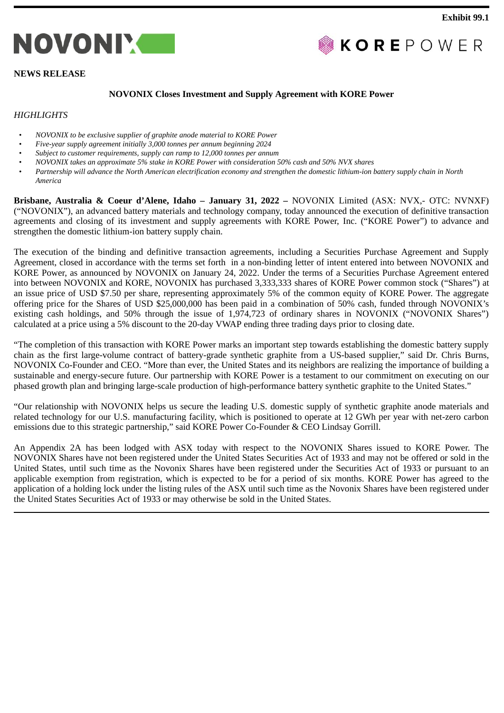<span id="page-3-0"></span>



## **NEWS RELEASE**

#### **NOVONIX Closes Investment and Supply Agreement with KORE Power**

## *HIGHLIGHTS*

- *NOVONIX to be exclusive supplier of graphite anode material to KORE Power*
- *Five-year supply agreement initially 3,000 tonnes per annum beginning 2024*
- *Subject to customer requirements, supply can ramp to 12,000 tonnes per annum*
- *NOVONIX takes an approximate 5% stake in KORE Power with consideration 50% cash and 50% NVX shares*
- Partnership will advance the North American electrification economy and strengthen the domestic lithium-ion battery supply chain in North *America*

**Brisbane, Australia & Coeur d'Alene, Idaho – January 31, 2022 –** NOVONIX Limited (ASX: NVX,- OTC: NVNXF) ("NOVONIX"), an advanced battery materials and technology company, today announced the execution of definitive transaction agreements and closing of its investment and supply agreements with KORE Power, Inc. ("KORE Power") to advance and strengthen the domestic lithium-ion battery supply chain.

The execution of the binding and definitive transaction agreements, including a Securities Purchase Agreement and Supply Agreement, closed in accordance with the terms set forth in a non-binding letter of intent entered into between NOVONIX and KORE Power, as announced by NOVONIX on January 24, 2022. Under the terms of a Securities Purchase Agreement entered into between NOVONIX and KORE, NOVONIX has purchased 3,333,333 shares of KORE Power common stock ("Shares") at an issue price of USD \$7.50 per share, representing approximately 5% of the common equity of KORE Power. The aggregate offering price for the Shares of USD \$25,000,000 has been paid in a combination of 50% cash, funded through NOVONIX's existing cash holdings, and 50% through the issue of 1,974,723 of ordinary shares in NOVONIX ("NOVONIX Shares") calculated at a price using a 5% discount to the 20-day VWAP ending three trading days prior to closing date.

"The completion of this transaction with KORE Power marks an important step towards establishing the domestic battery supply chain as the first large-volume contract of battery-grade synthetic graphite from a US-based supplier," said Dr. Chris Burns, NOVONIX Co-Founder and CEO. "More than ever, the United States and its neighbors are realizing the importance of building a sustainable and energy-secure future. Our partnership with KORE Power is a testament to our commitment on executing on our phased growth plan and bringing large-scale production of high-performance battery synthetic graphite to the United States."

"Our relationship with NOVONIX helps us secure the leading U.S. domestic supply of synthetic graphite anode materials and related technology for our U.S. manufacturing facility, which is positioned to operate at 12 GWh per year with net-zero carbon emissions due to this strategic partnership," said KORE Power Co-Founder & CEO Lindsay Gorrill.

An Appendix 2A has been lodged with ASX today with respect to the NOVONIX Shares issued to KORE Power. The NOVONIX Shares have not been registered under the United States Securities Act of 1933 and may not be offered or sold in the United States, until such time as the Novonix Shares have been registered under the Securities Act of 1933 or pursuant to an applicable exemption from registration, which is expected to be for a period of six months. KORE Power has agreed to the application of a holding lock under the listing rules of the ASX until such time as the Novonix Shares have been registered under the United States Securities Act of 1933 or may otherwise be sold in the United States.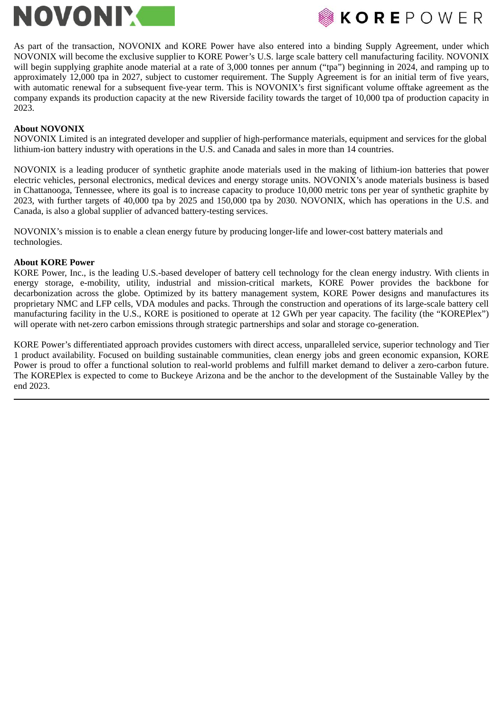



As part of the transaction, NOVONIX and KORE Power have also entered into a binding Supply Agreement, under which NOVONIX will become the exclusive supplier to KORE Power's U.S. large scale battery cell manufacturing facility. NOVONIX will begin supplying graphite anode material at a rate of 3,000 tonnes per annum ("tpa") beginning in 2024, and ramping up to approximately 12,000 tpa in 2027, subject to customer requirement. The Supply Agreement is for an initial term of five years, with automatic renewal for a subsequent five-year term. This is NOVONIX's first significant volume offtake agreement as the company expands its production capacity at the new Riverside facility towards the target of 10,000 tpa of production capacity in 2023.

#### **About NOVONIX**

NOVONIX Limited is an integrated developer and supplier of high-performance materials, equipment and services for the global lithium-ion battery industry with operations in the U.S. and Canada and sales in more than 14 countries.

NOVONIX is a leading producer of synthetic graphite anode materials used in the making of lithium-ion batteries that power electric vehicles, personal electronics, medical devices and energy storage units. NOVONIX's anode materials business is based in Chattanooga, Tennessee, where its goal is to increase capacity to produce 10,000 metric tons per year of synthetic graphite by 2023, with further targets of 40,000 tpa by 2025 and 150,000 tpa by 2030. NOVONIX, which has operations in the U.S. and Canada, is also a global supplier of advanced battery-testing services.

NOVONIX's mission is to enable a clean energy future by producing longer-life and lower-cost battery materials and technologies.

#### **About KORE Power**

KORE Power, Inc., is the leading U.S.-based developer of battery cell technology for the clean energy industry. With clients in energy storage, e-mobility, utility, industrial and mission-critical markets, KORE Power provides the backbone for decarbonization across the globe. Optimized by its battery management system, KORE Power designs and manufactures its proprietary NMC and LFP cells, VDA modules and packs. Through the construction and operations of its large-scale battery cell manufacturing facility in the U.S., KORE is positioned to operate at 12 GWh per year capacity. The facility (the "KOREPlex") will operate with net-zero carbon emissions through strategic partnerships and solar and storage co-generation.

KORE Power's differentiated approach provides customers with direct access, unparalleled service, superior technology and Tier 1 product availability. Focused on building sustainable communities, clean energy jobs and green economic expansion, KORE Power is proud to offer a functional solution to real-world problems and fulfill market demand to deliver a zero-carbon future. The KOREPlex is expected to come to Buckeye Arizona and be the anchor to the development of the Sustainable Valley by the end 2023.